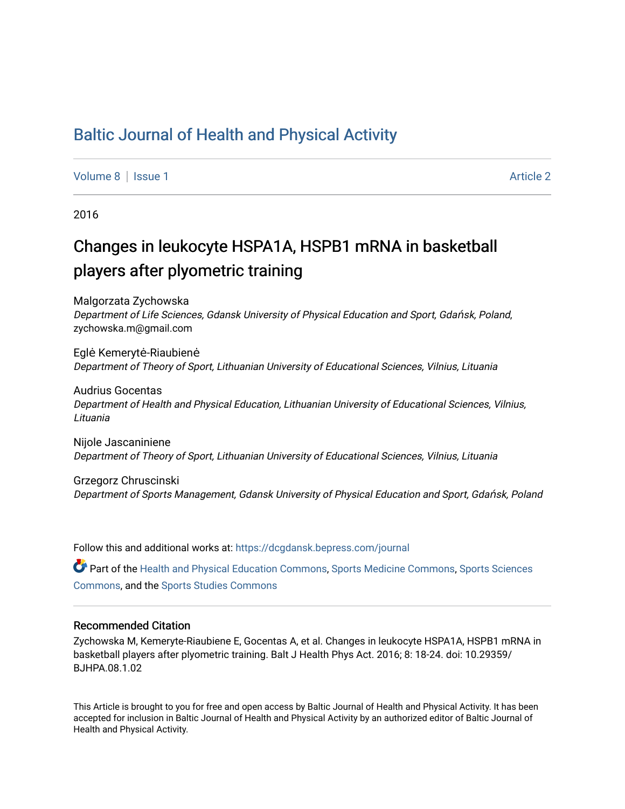## [Baltic Journal of Health and Physical Activity](https://dcgdansk.bepress.com/journal)

[Volume 8](https://dcgdansk.bepress.com/journal/vol8) | [Issue 1](https://dcgdansk.bepress.com/journal/vol8/iss1) Article 2

2016

## Changes in leukocyte HSPA1A, HSPB1 mRNA in basketball players after plyometric training

Malgorzata Zychowska Department of Life Sciences, Gdansk University of Physical Education and Sport, Gdańsk, Poland, zychowska.m@gmail.com

Eglė Kemerytė-Riaubienė Department of Theory of Sport, Lithuanian University of Educational Sciences, Vilnius, Lituania

Audrius Gocentas Department of Health and Physical Education, Lithuanian University of Educational Sciences, Vilnius, Lituania

Nijole Jascaniniene Department of Theory of Sport, Lithuanian University of Educational Sciences, Vilnius, Lituania

Grzegorz Chruscinski Department of Sports Management, Gdansk University of Physical Education and Sport, Gdańsk, Poland

Follow this and additional works at: [https://dcgdansk.bepress.com/journal](https://dcgdansk.bepress.com/journal?utm_source=dcgdansk.bepress.com%2Fjournal%2Fvol8%2Fiss1%2F2&utm_medium=PDF&utm_campaign=PDFCoverPages)

Part of the [Health and Physical Education Commons](http://network.bepress.com/hgg/discipline/1327?utm_source=dcgdansk.bepress.com%2Fjournal%2Fvol8%2Fiss1%2F2&utm_medium=PDF&utm_campaign=PDFCoverPages), [Sports Medicine Commons,](http://network.bepress.com/hgg/discipline/1331?utm_source=dcgdansk.bepress.com%2Fjournal%2Fvol8%2Fiss1%2F2&utm_medium=PDF&utm_campaign=PDFCoverPages) [Sports Sciences](http://network.bepress.com/hgg/discipline/759?utm_source=dcgdansk.bepress.com%2Fjournal%2Fvol8%2Fiss1%2F2&utm_medium=PDF&utm_campaign=PDFCoverPages) [Commons](http://network.bepress.com/hgg/discipline/759?utm_source=dcgdansk.bepress.com%2Fjournal%2Fvol8%2Fiss1%2F2&utm_medium=PDF&utm_campaign=PDFCoverPages), and the [Sports Studies Commons](http://network.bepress.com/hgg/discipline/1198?utm_source=dcgdansk.bepress.com%2Fjournal%2Fvol8%2Fiss1%2F2&utm_medium=PDF&utm_campaign=PDFCoverPages) 

#### Recommended Citation

Zychowska M, Kemeryte-Riaubiene E, Gocentas A, et al. Changes in leukocyte HSPA1A, HSPB1 mRNA in basketball players after plyometric training. Balt J Health Phys Act. 2016; 8: 18-24. doi: 10.29359/ BJHPA.08.1.02

This Article is brought to you for free and open access by Baltic Journal of Health and Physical Activity. It has been accepted for inclusion in Baltic Journal of Health and Physical Activity by an authorized editor of Baltic Journal of Health and Physical Activity.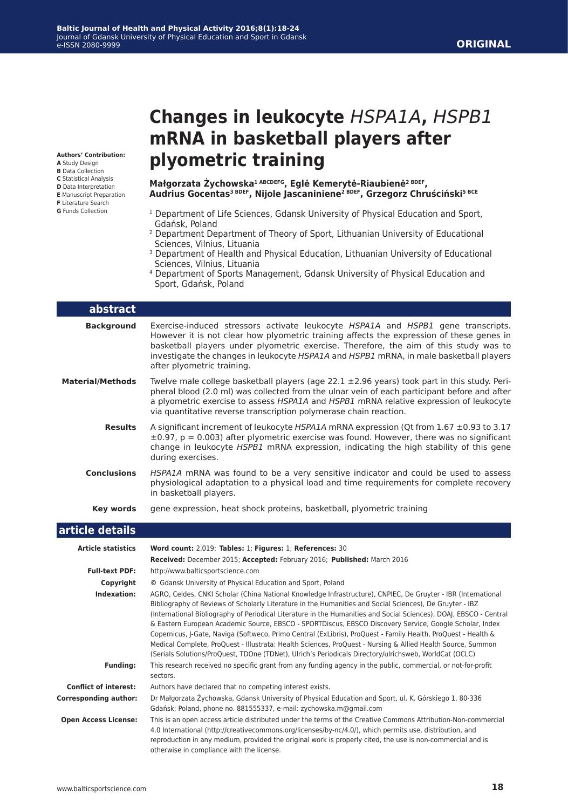### **ORIGINAL**

**Authors' Contribution:**

- **A** Study Design
- **B** Data Collection **C** Statistical Analysis
- **D** Data Interpretation
- **E** Manuscript Preparation
- **F** Literature Search
- **G** Funds Collection

# **Changes in leukocyte** *HSPA1A***,** *HSPB1* **mRNA in basketball players after plyometric training**

**Małgorzata Żychowska1 ABCDEFG, Eglė Kemerytė-Riaubienė2 BDEF, Audrius Gocentas3 BDEF, Nijole Jascaniniene2 BDEF, Grzegorz Chruściński5 BCE**

- <sup>1</sup> Department of Life Sciences, Gdansk University of Physical Education and Sport, Gdańsk, Poland
- <sup>2</sup> Department Department of Theory of Sport, Lithuanian University of Educational Sciences, Vilnius, Lituania
- <sup>3</sup> Department of Health and Physical Education, Lithuanian University of Educational Sciences, Vilnius, Lituania
- 4 Department of Sports Management, Gdansk University of Physical Education and Sport, Gdańsk, Poland

| abstract                     |                                                                                                                                                                                                                                                                                                                                                                                                                                                                                                                                                                                                                                                                                                                                                                                                      |
|------------------------------|------------------------------------------------------------------------------------------------------------------------------------------------------------------------------------------------------------------------------------------------------------------------------------------------------------------------------------------------------------------------------------------------------------------------------------------------------------------------------------------------------------------------------------------------------------------------------------------------------------------------------------------------------------------------------------------------------------------------------------------------------------------------------------------------------|
| <b>Background</b>            | Exercise-induced stressors activate leukocyte HSPA1A and HSPB1 gene transcripts.<br>However it is not clear how plyometric training affects the expression of these genes in<br>basketball players under plyometric exercise. Therefore, the aim of this study was to<br>investigate the changes in leukocyte HSPA1A and HSPB1 mRNA, in male basketball players<br>after plyometric training.                                                                                                                                                                                                                                                                                                                                                                                                        |
| <b>Material/Methods</b>      | Twelve male college basketball players (age $22.1 \pm 2.96$ years) took part in this study. Peri-<br>pheral blood (2.0 ml) was collected from the ulnar vein of each participant before and after<br>a plyometric exercise to assess HSPA1A and HSPB1 mRNA relative expression of leukocyte<br>via quantitative reverse transcription polymerase chain reaction.                                                                                                                                                                                                                                                                                                                                                                                                                                     |
| <b>Results</b>               | A significant increment of leukocyte HSPA1A mRNA expression (Qt from 1.67 ±0.93 to 3.17<br>$\pm 0.97$ , p = 0.003) after plyometric exercise was found. However, there was no significant<br>change in leukocyte HSPB1 mRNA expression, indicating the high stability of this gene<br>during exercises.                                                                                                                                                                                                                                                                                                                                                                                                                                                                                              |
| <b>Conclusions</b>           | HSPA1A mRNA was found to be a very sensitive indicator and could be used to assess<br>physiological adaptation to a physical load and time requirements for complete recovery<br>in basketball players.                                                                                                                                                                                                                                                                                                                                                                                                                                                                                                                                                                                              |
| Key words                    | gene expression, heat shock proteins, basketball, plyometric training                                                                                                                                                                                                                                                                                                                                                                                                                                                                                                                                                                                                                                                                                                                                |
| article details              |                                                                                                                                                                                                                                                                                                                                                                                                                                                                                                                                                                                                                                                                                                                                                                                                      |
| <b>Article statistics</b>    | Word count: 2,019; Tables: 1; Figures: 1; References: 30<br>Received: December 2015; Accepted: February 2016; Published: March 2016                                                                                                                                                                                                                                                                                                                                                                                                                                                                                                                                                                                                                                                                  |
| <b>Full-text PDF:</b>        | http://www.balticsportscience.com                                                                                                                                                                                                                                                                                                                                                                                                                                                                                                                                                                                                                                                                                                                                                                    |
| Copyright                    | © Gdansk University of Physical Education and Sport, Poland                                                                                                                                                                                                                                                                                                                                                                                                                                                                                                                                                                                                                                                                                                                                          |
| Indexation:                  | AGRO, Celdes, CNKI Scholar (China National Knowledge Infrastructure), CNPIEC, De Gruyter - IBR (International<br>Bibliography of Reviews of Scholarly Literature in the Humanities and Social Sciences), De Gruyter - IBZ<br>(International Bibliography of Periodical Literature in the Humanities and Social Sciences), DOAJ, EBSCO - Central<br>& Eastern European Academic Source, EBSCO - SPORTDiscus, EBSCO Discovery Service, Google Scholar, Index<br>Copernicus, J-Gate, Naviga (Softweco, Primo Central (ExLibris), ProQuest - Family Health, ProQuest - Health &<br>Medical Complete, ProQuest - Illustrata: Health Sciences, ProQuest - Nursing & Allied Health Source, Summon<br>(Serials Solutions/ProQuest, TDOne (TDNet), Ulrich's Periodicals Directory/ulrichsweb, WorldCat (OCLC) |
| <b>Funding:</b>              | This research received no specific grant from any funding agency in the public, commercial, or not-for-profit<br>sectors.                                                                                                                                                                                                                                                                                                                                                                                                                                                                                                                                                                                                                                                                            |
| <b>Conflict of interest:</b> | Authors have declared that no competing interest exists.                                                                                                                                                                                                                                                                                                                                                                                                                                                                                                                                                                                                                                                                                                                                             |
| <b>Corresponding author:</b> | Dr Małgorzata Żychowska, Gdansk University of Physical Education and Sport, ul. K. Górskiego 1, 80-336<br>Gdańsk; Poland, phone no. 881555337, e-mail: zychowska.m@gmail.com                                                                                                                                                                                                                                                                                                                                                                                                                                                                                                                                                                                                                         |
| <b>Open Access License:</b>  | This is an open access article distributed under the terms of the Creative Commons Attribution-Non-commercial<br>4.0 International (http://creativecommons.org/licenses/by-nc/4.0/), which permits use, distribution, and<br>reproduction in any medium, provided the original work is properly cited, the use is non-commercial and is<br>otherwise in compliance with the license.                                                                                                                                                                                                                                                                                                                                                                                                                 |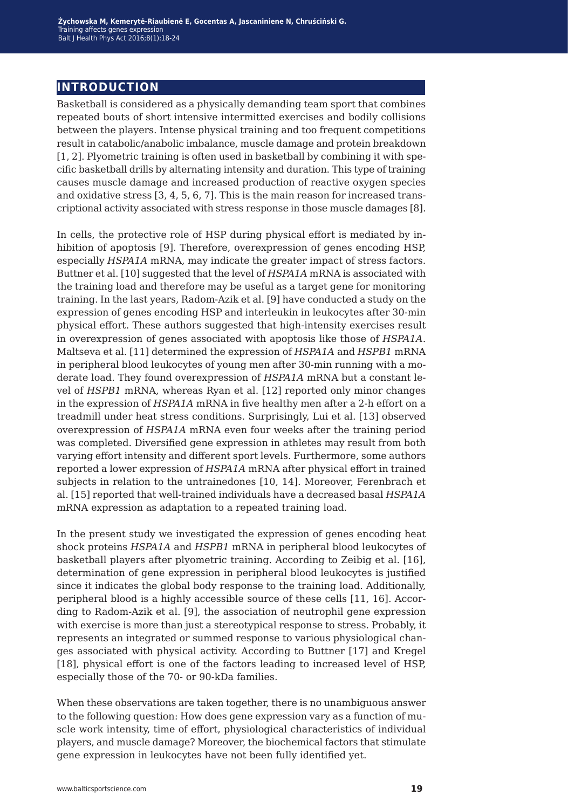## **introduction**

Basketball is considered as a physically demanding team sport that combines repeated bouts of short intensive intermitted exercises and bodily collisions between the players. Intense physical training and too frequent competitions result in catabolic/anabolic imbalance, muscle damage and protein breakdown [1, 2]. Plyometric training is often used in basketball by combining it with specific basketball drills by alternating intensity and duration. This type of training causes muscle damage and increased production of reactive oxygen species and oxidative stress [3, 4, 5, 6, 7]. This is the main reason for increased transcriptional activity associated with stress response in those muscle damages [8].

In cells, the protective role of HSP during physical effort is mediated by inhibition of apoptosis [9]. Therefore, overexpression of genes encoding HSP, especially *HSPA1A* mRNA, may indicate the greater impact of stress factors. Buttner et al. [10] suggested that the level of *HSPA1A* mRNA is associated with the training load and therefore may be useful as a target gene for monitoring training. In the last years, Radom-Azik et al. [9] have conducted a study on the expression of genes encoding HSP and interleukin in leukocytes after 30-min physical effort. These authors suggested that high-intensity exercises result in overexpression of genes associated with apoptosis like those of *HSPA1A*. Maltseva et al. [11] determined the expression of *HSPA1A* and *HSPB1* mRNA in peripheral blood leukocytes of young men after 30-min running with a moderate load. They found overexpression of *HSPA1A* mRNA but a constant level of *HSPB1* mRNA, whereas Ryan et al. [12] reported only minor changes in the expression of *HSPA1A* mRNA in five healthy men after a 2-h effort on a treadmill under heat stress conditions. Surprisingly, Lui et al. [13] observed overexpression of *HSPA1A* mRNA even four weeks after the training period was completed. Diversified gene expression in athletes may result from both varying effort intensity and different sport levels. Furthermore, some authors reported a lower expression of *HSPA1A* mRNA after physical effort in trained subjects in relation to the untrainedones [10, 14]. Moreover, Ferenbrach et al. [15] reported that well-trained individuals have a decreased basal *HSPA1A* mRNA expression as adaptation to a repeated training load.

In the present study we investigated the expression of genes encoding heat shock proteins *HSPA1A* and *HSPB1* mRNA in peripheral blood leukocytes of basketball players after plyometric training. According to Zeibig et al. [16], determination of gene expression in peripheral blood leukocytes is justified since it indicates the global body response to the training load. Additionally, peripheral blood is a highly accessible source of these cells [11, 16]. According to Radom-Azik et al. [9], the association of neutrophil gene expression with exercise is more than just a stereotypical response to stress. Probably, it represents an integrated or summed response to various physiological changes associated with physical activity. According to Buttner [17] and Kregel [18], physical effort is one of the factors leading to increased level of HSP, especially those of the 70- or 90-kDa families.

When these observations are taken together, there is no unambiguous answer to the following question: How does gene expression vary as a function of muscle work intensity, time of effort, physiological characteristics of individual players, and muscle damage? Moreover, the biochemical factors that stimulate gene expression in leukocytes have not been fully identified yet.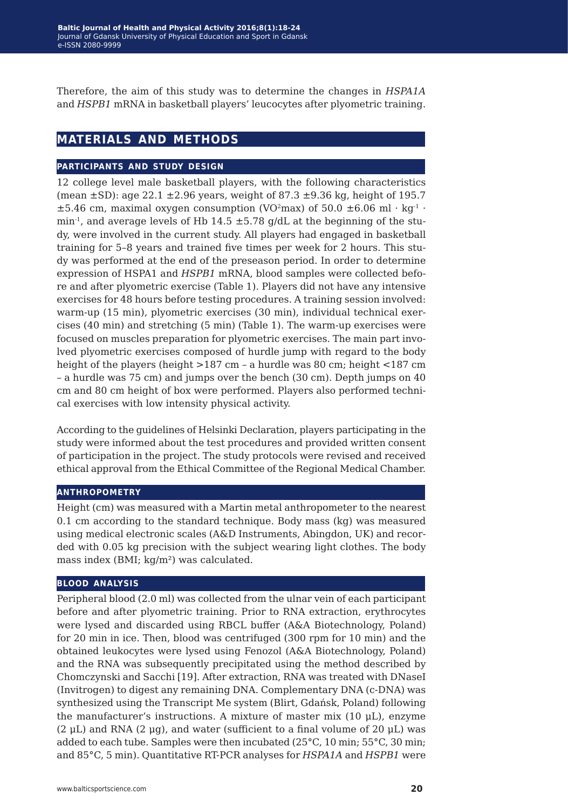Therefore, the aim of this study was to determine the changes in *HSPA1A* and *HSPB1* mRNA in basketball players' leucocytes after plyometric training.

## **materials and methods**

#### **participants and study design**

12 college level male basketball players, with the following characteristics (mean  $\pm$ SD): age 22.1  $\pm$ 2.96 years, weight of 87.3  $\pm$ 9.36 kg, height of 195.7  $\pm$ 5.46 cm, maximal oxygen consumption (VO<sup>2</sup>max) of 50.0  $\pm$ 6.06 ml · kg<sup>-1</sup> · min<sup>-1</sup>, and average levels of Hb 14.5  $\pm$  5.78 g/dL at the beginning of the study, were involved in the current study. All players had engaged in basketball training for 5–8 years and trained five times per week for 2 hours. This study was performed at the end of the preseason period. In order to determine expression of HSPA1 and *HSPB1* mRNA, blood samples were collected before and after plyometric exercise (Table 1). Players did not have any intensive exercises for 48 hours before testing procedures. A training session involved: warm-up (15 min), plyometric exercises (30 min), individual technical exercises (40 min) and stretching (5 min) (Table 1). The warm-up exercises were focused on muscles preparation for plyometric exercises. The main part involved plyometric exercises composed of hurdle jump with regard to the body height of the players (height >187 cm – a hurdle was 80 cm; height <187 cm – a hurdle was 75 cm) and jumps over the bench (30 cm). Depth jumps on 40 cm and 80 cm height of box were performed. Players also performed technical exercises with low intensity physical activity.

According to the guidelines of Helsinki Declaration, players participating in the study were informed about the test procedures and provided written consent of participation in the project. The study protocols were revised and received ethical approval from the Ethical Committee of the Regional Medical Chamber.

#### **anthropometry**

Height (cm) was measured with a Martin metal anthropometer to the nearest 0.1 cm according to the standard technique. Body mass (kg) was measured using medical electronic scales (A&D Instruments, Abingdon, UK) and recorded with 0.05 kg precision with the subject wearing light clothes. The body mass index (BMI; kg/m²) was calculated.

#### **blood analysis**

Peripheral blood (2.0 ml) was collected from the ulnar vein of each participant before and after plyometric training. Prior to RNA extraction, erythrocytes were lysed and discarded using RBCL buffer (A&A Biotechnology, Poland) for 20 min in ice. Then, blood was centrifuged (300 rpm for 10 min) and the obtained leukocytes were lysed using Fenozol (A&A Biotechnology, Poland) and the RNA was subsequently precipitated using the method described by Chomczynski and Sacchi [19]. After extraction, RNA was treated with DNaseI (Invitrogen) to digest any remaining DNA. Complementary DNA (c-DNA) was synthesized using the Transcript Me system (Blirt, Gdańsk, Poland) following the manufacturer's instructions. A mixture of master mix (10 μL), enzyme (2 μL) and RNA (2 μg), and water (sufficient to a final volume of 20 μL) was added to each tube. Samples were then incubated (25°C, 10 min; 55°C, 30 min; and 85°C, 5 min). Quantitative RT-PCR analyses for *HSPA1A* and *HSPB1* were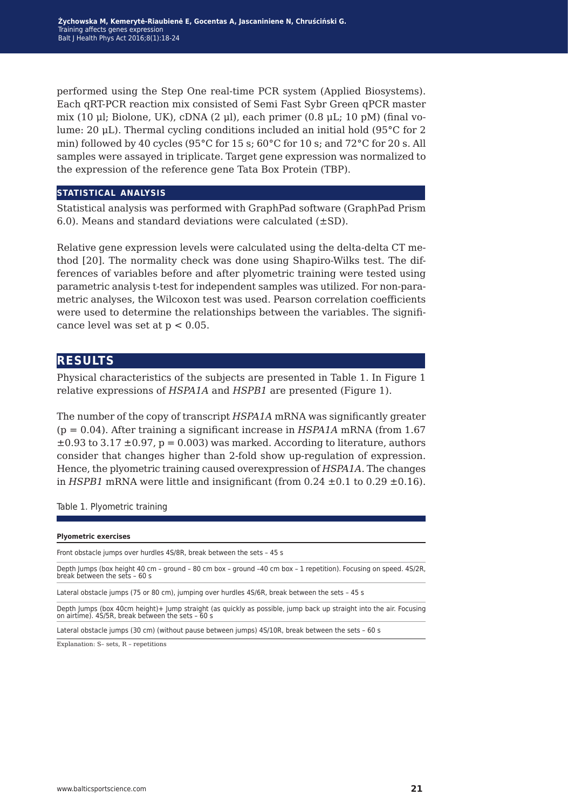performed using the Step One real-time PCR system (Applied Biosystems). Each qRT-PCR reaction mix consisted of Semi Fast Sybr Green qPCR master mix (10 μl; Biolone, UK), cDNA (2 μl), each primer (0.8 μL; 10 pM) (final volume: 20 μL). Thermal cycling conditions included an initial hold (95°C for 2 min) followed by 40 cycles (95 $^{\circ}$ C for 15 s; 60 $^{\circ}$ C for 10 s; and 72 $^{\circ}$ C for 20 s. All samples were assayed in triplicate. Target gene expression was normalized to the expression of the reference gene Tata Box Protein (TBP).

#### **statistical analysis**

Statistical analysis was performed with GraphPad software (GraphPad Prism 6.0). Means and standard deviations were calculated  $(\pm SD)$ .

Relative gene expression levels were calculated using the delta-delta CT method [20]. The normality check was done using Shapiro-Wilks test. The differences of variables before and after plyometric training were tested using parametric analysis t-test for independent samples was utilized. For non-parametric analyses, the Wilcoxon test was used. Pearson correlation coefficients were used to determine the relationships between the variables. The significance level was set at  $p < 0.05$ .

### **results**

Physical characteristics of the subjects are presented in Table 1. In Figure 1 relative expressions of *HSPA1A* and *HSPB1* are presented (Figure 1).

The number of the copy of transcript *HSPA1A* mRNA was significantly greater (p = 0.04). After training a significant increase in *HSPA1A* mRNA (from 1.67  $\pm 0.93$  to 3.17  $\pm 0.97$ , p = 0.003) was marked. According to literature, authors consider that changes higher than 2-fold show up-regulation of expression. Hence, the plyometric training caused overexpression of *HSPA1A*. The changes in *HSPB1* mRNA were little and insignificant (from  $0.24 \pm 0.1$  to  $0.29 \pm 0.16$ ).

Table 1. Plyometric training

Lateral obstacle jumps (30 cm) (without pause between jumps) 4S/10R, break between the sets – 60 s

Explanation: S– sets, R – repetitions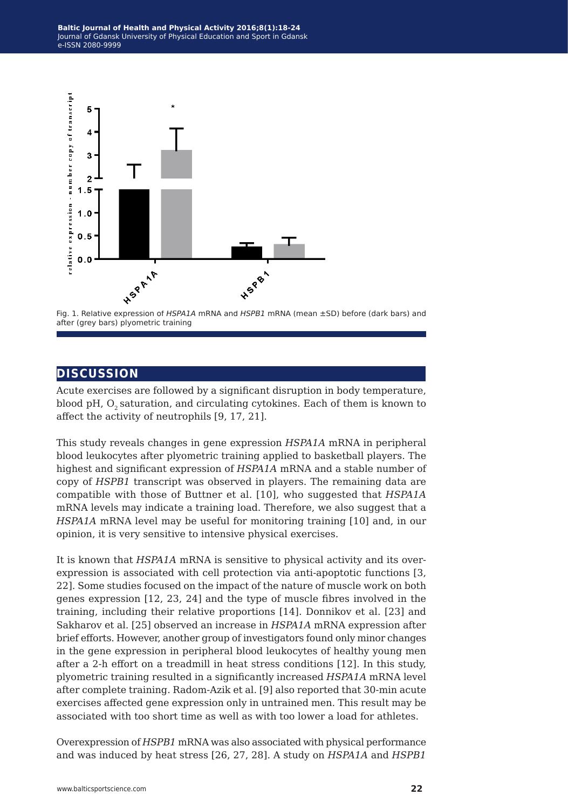

Fig. 1. Relative expression of *HSPA1A* mRNA and *HSPB1* mRNA (mean ±SD) before (dark bars) and after (grey bars) plyometric training

## **discussion**

Acute exercises are followed by a significant disruption in body temperature, blood pH,  $O<sub>2</sub>$  saturation, and circulating cytokines. Each of them is known to affect the activity of neutrophils [9, 17, 21].

This study reveals changes in gene expression *HSPA1A* mRNA in peripheral blood leukocytes after plyometric training applied to basketball players. The highest and significant expression of *HSPA1A* mRNA and a stable number of copy of *HSPB1* transcript was observed in players. The remaining data are compatible with those of Buttner et al. [10], who suggested that *HSPA1A* mRNA levels may indicate a training load. Therefore, we also suggest that a *HSPA1A* mRNA level may be useful for monitoring training [10] and, in our opinion, it is very sensitive to intensive physical exercises.

It is known that *HSPA1A* mRNA is sensitive to physical activity and its overexpression is associated with cell protection via anti-apoptotic functions [3, 22]. Some studies focused on the impact of the nature of muscle work on both genes expression [12, 23, 24] and the type of muscle fibres involved in the training, including their relative proportions [14]. Donnikov et al. [23] and Sakharov et al. [25] observed an increase in *HSPA1A* mRNA expression after brief efforts. However, another group of investigators found only minor changes in the gene expression in peripheral blood leukocytes of healthy young men after a 2-h effort on a treadmill in heat stress conditions [12]. In this study, plyometric training resulted in a significantly increased *HSPA1A* mRNA level after complete training. Radom-Azik et al. [9] also reported that 30-min acute exercises affected gene expression only in untrained men. This result may be associated with too short time as well as with too lower a load for athletes.

Overexpression of *HSPB1* mRNA was also associated with physical performance and was induced by heat stress [26, 27, 28]. A study on *HSPA1A* and *HSPB1*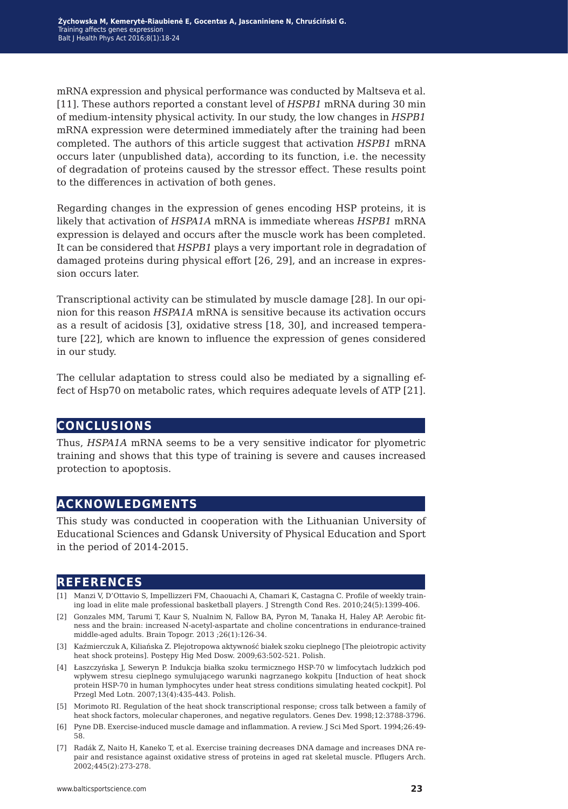mRNA expression and physical performance was conducted by Maltseva et al. [11]. These authors reported a constant level of *HSPB1* mRNA during 30 min of medium-intensity physical activity. In our study, the low changes in *HSPB1* mRNA expression were determined immediately after the training had been completed. The authors of this article suggest that activation *HSPB1* mRNA occurs later (unpublished data), according to its function, i.e. the necessity of degradation of proteins caused by the stressor effect. These results point to the differences in activation of both genes.

Regarding changes in the expression of genes encoding HSP proteins, it is likely that activation of *HSPA1A* mRNA is immediate whereas *HSPB1* mRNA expression is delayed and occurs after the muscle work has been completed. It can be considered that *HSPB1* plays a very important role in degradation of damaged proteins during physical effort [26, 29], and an increase in expression occurs later.

Transcriptional activity can be stimulated by muscle damage [28]. In our opinion for this reason *HSPA1A* mRNA is sensitive because its activation occurs as a result of acidosis [3], oxidative stress [18, 30], and increased temperature [22], which are known to influence the expression of genes considered in our study.

The cellular adaptation to stress could also be mediated by a signalling effect of Hsp70 on metabolic rates, which requires adequate levels of ATP [21].

## **conclusions**

Thus, *HSPA1A* mRNA seems to be a very sensitive indicator for plyometric training and shows that this type of training is severe and causes increased protection to apoptosis.

## **acknowledgments**

This study was conducted in cooperation with the Lithuanian University of Educational Sciences and Gdansk University of Physical Education and Sport in the period of 2014-2015.

## **references**

- [1] Manzi V, D'Ottavio S, Impellizzeri FM, Chaouachi A, Chamari K, Castagna C. Profile of weekly training load in elite male professional basketball players. J Strength Cond Res. 2010;24(5):1399-406.
- [2] Gonzales MM, Tarumi T, Kaur S, Nualnim N, Fallow BA, Pyron M, Tanaka H, Haley AP. Aerobic fitness and the brain: increased N-acetyl-aspartate and choline concentrations in endurance-trained middle-aged adults. Brain Topogr. 2013 ;26(1):126-34.
- [3] Kaźmierczuk A, Kiliańska Z. Plejotropowa aktywność białek szoku cieplnego [The pleiotropic activity heat shock proteins]. Postępy Hig Med Dosw. 2009;63:502-521. Polish.
- [4] Łaszczyńska J, Seweryn P. Indukcja białka szoku termicznego HSP-70 w limfocytach ludzkich pod wpływem stresu cieplnego symulującego warunki nagrzanego kokpitu [Induction of heat shock protein HSP-70 in human lymphocytes under heat stress conditions simulating heated cockpit]. Pol Przegl Med Lotn. 2007;13(4):435-443. Polish.
- [5] Morimoto RI. Regulation of the heat shock transcriptional response; cross talk between a family of heat shock factors, molecular chaperones, and negative regulators. Genes Dev. 1998;12:3788-3796.
- [6] Pyne DB. Exercise-induced muscle damage and inflammation. A review. J Sci Med Sport. 1994;26:49- 58.
- [7] Radák Z, Naito H, Kaneko T, et al. Exercise training decreases DNA damage and increases DNA repair and resistance against oxidative stress of proteins in aged rat skeletal muscle. Pflugers Arch. 2002;445(2):273-278.